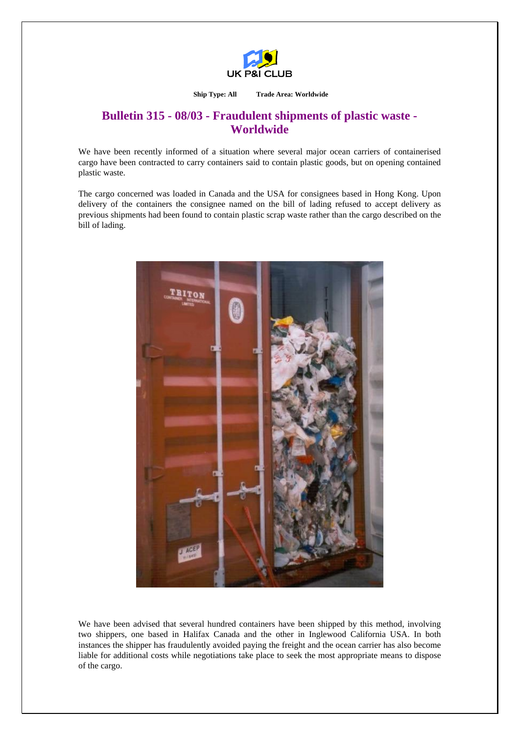

**Ship Type: All Trade Area: Worldwide** 

## **Bulletin 315 - 08/03 - Fraudulent shipments of plastic waste - Worldwide**

We have been recently informed of a situation where several major ocean carriers of containerised cargo have been contracted to carry containers said to contain plastic goods, but on opening contained plastic waste.

The cargo concerned was loaded in Canada and the USA for consignees based in Hong Kong. Upon delivery of the containers the consignee named on the bill of lading refused to accept delivery as previous shipments had been found to contain plastic scrap waste rather than the cargo described on the bill of lading.



We have been advised that several hundred containers have been shipped by this method, involving two shippers, one based in Halifax Canada and the other in Inglewood California USA. In both instances the shipper has fraudulently avoided paying the freight and the ocean carrier has also become liable for additional costs while negotiations take place to seek the most appropriate means to dispose of the cargo.